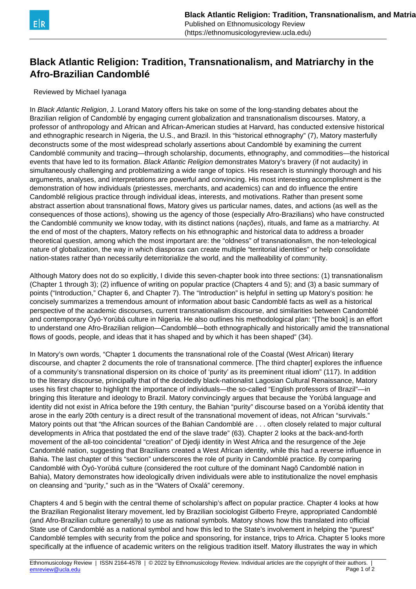

## **Black Atlantic Religion: Tradition, Transnationalism, and Matriarchy in the Afro-Brazilian Candomblé**

## Reviewed by Michael Iyanaga

In Black Atlantic Religion, J. Lorand Matory offers his take on some of the long-standing debates about the Brazilian religion of Candomblé by engaging current globalization and transnationalism discourses. Matory, a professor of anthropology and African and African-American studies at Harvard, has conducted extensive historical and ethnographic research in Nigeria, the U.S., and Brazil. In this "historical ethnography" (7), Matory masterfully deconstructs some of the most widespread scholarly assertions about Candomblé by examining the current Candomblé community and tracing—through scholarship, documents, ethnography, and commodities—the historical events that have led to its formation. Black Atlantic Religion demonstrates Matory's bravery (if not audacity) in simultaneously challenging and problematizing a wide range of topics. His research is stunningly thorough and his arguments, analyses, and interpretations are powerful and convincing. His most interesting accomplishment is the demonstration of how individuals (priestesses, merchants, and academics) can and do influence the entire Candomblé religious practice through individual ideas, interests, and motivations. Rather than present some abstract assertion about transnational flows, Matory gives us particular names, dates, and actions (as well as the consequences of those actions), showing us the agency of those (especially Afro-Brazilians) who have constructed the Candomblé community we know today, with its distinct nations (nações), rituals, and fame as a matriarchy. At the end of most of the chapters, Matory reflects on his ethnographic and historical data to address a broader theoretical question, among which the most important are: the "oldness" of transnationalism, the non-teleological nature of globalization, the way in which diasporas can create multiple "territorial identities" or help consolidate nation-states rather than necessarily deterritorialize the world, and the malleability of community.

Although Matory does not do so explicitly, I divide this seven-chapter book into three sections: (1) transnationalism (Chapter 1 through 3); (2) influence of writing on popular practice (Chapters 4 and 5); and (3) a basic summary of points ("Introduction," Chapter 6, and Chapter 7). The "Introduction" is helpful in setting up Matory's position: he concisely summarizes a tremendous amount of information about basic Candomblé facts as well as a historical perspective of the academic discourses, current transnationalism discourse, and similarities between Candomblé and contemporary Òyó-Yorùbá culture in Nigeria. He also outlines his methodological plan: "[The book] is an effort to understand one Afro-Brazilian religion—Candomblé—both ethnographically and historically amid the transnational flows of goods, people, and ideas that it has shaped and by which it has been shaped" (34).

In Matory's own words, "Chapter 1 documents the transnational role of the Coastal (West African) literary discourse, and chapter 2 documents the role of transnational commerce. [The third chapter] explores the influence of a community's transnational dispersion on its choice of 'purity' as its preeminent ritual idiom" (117). In addition to the literary discourse, principally that of the decidedly black-nationalist Lagosian Cultural Renaissance, Matory uses his first chapter to highlight the importance of individuals—the so-called "English professors of Brazil"—in bringing this literature and ideology to Brazil. Matory convincingly argues that because the Yorùbá language and identity did not exist in Africa before the 19th century, the Bahian "purity" discourse based on a Yorùbá identity that arose in the early 20th century is a direct result of the transnational movement of ideas, not African "survivals." Matory points out that "the African sources of the Bahian Candomblé are . . . often closely related to major cultural developments in Africa that postdated the end of the slave trade" (63). Chapter 2 looks at the back-and-forth movement of the all-too coincidental "creation" of Djedji identity in West Africa and the resurgence of the Jeje Candomblé nation, suggesting that Brazilians created a West African identity, while this had a reverse influence in Bahia. The last chapter of this "section" underscores the role of purity in Candomblé practice. By comparing Candomblé with Òyó-Yorùbá culture (considered the root culture of the dominant Nagô Candomblé nation in Bahia), Matory demonstrates how ideologically driven individuals were able to institutionalize the novel emphasis on cleansing and "purity," such as in the "Waters of Oxalá" ceremony.

Chapters 4 and 5 begin with the central theme of scholarship's affect on popular practice. Chapter 4 looks at how the Brazilian Regionalist literary movement, led by Brazilian sociologist Gilberto Freyre, appropriated Candomblé (and Afro-Brazilian culture generally) to use as national symbols. Matory shows how this translated into official State use of Candomblé as a national symbol and how this led to the State's involvement in helping the "purest" Candomblé temples with security from the police and sponsoring, for instance, trips to Africa. Chapter 5 looks more specifically at the influence of academic writers on the religious tradition itself. Matory illustrates the way in which